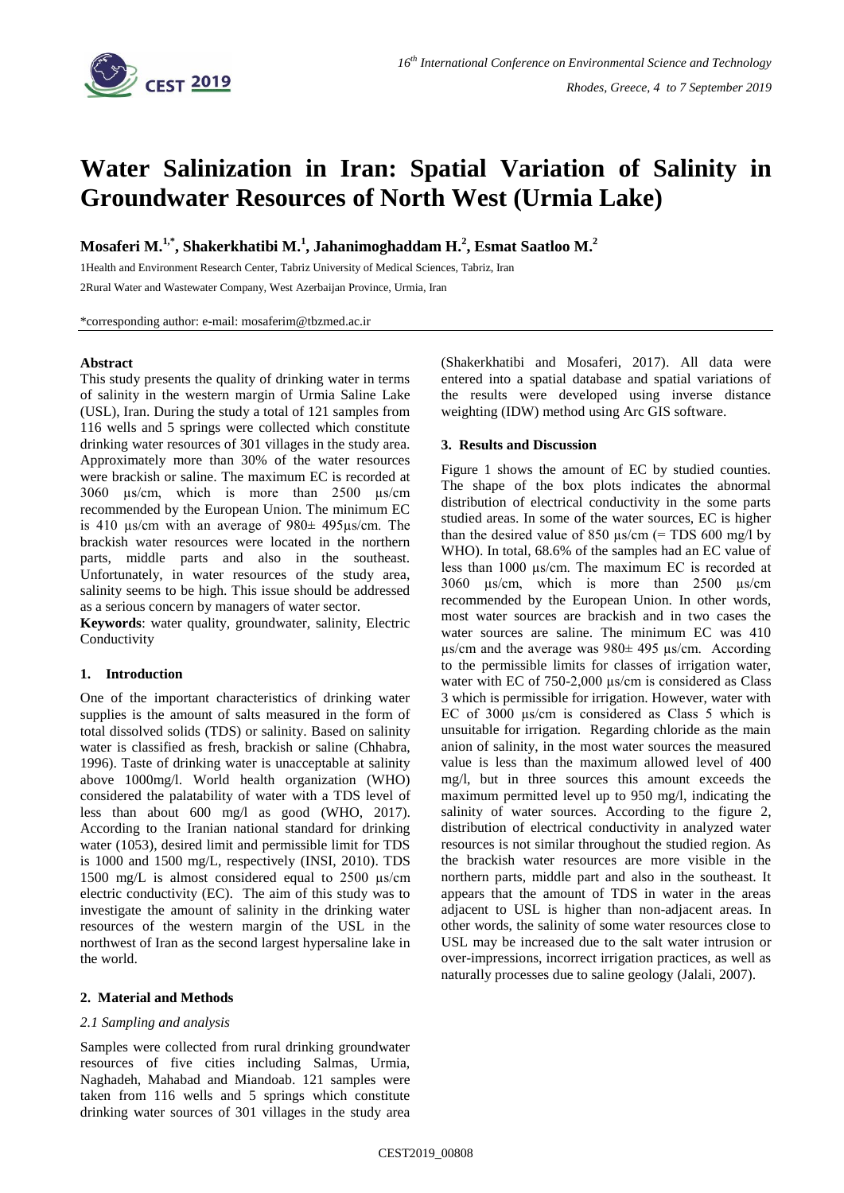

# **Water Salinization in Iran: Spatial Variation of Salinity in Groundwater Resources of North West (Urmia Lake)**

**Mosaferi M.1,\* , Shakerkhatibi M. 1 , Jahanimoghaddam H. 2 , Esmat Saatloo M. 2**

1Health and Environment Research Center, Tabriz University of Medical Sciences, Tabriz, Iran 2Rural Water and Wastewater Company, West Azerbaijan Province, Urmia, Iran

\*corresponding author: e-mail: mosaferim@tbzmed.ac.ir

# **Abstract**

This study presents the quality of drinking water in terms of salinity in the western margin of Urmia Saline Lake (USL), Iran. During the study a total of 121 samples from 116 wells and 5 springs were collected which constitute drinking water resources of 301 villages in the study area. Approximately more than 30% of the water resources were brackish or saline. The maximum EC is recorded at 3060 µs/cm, which is more than 2500 µs/cm recommended by the European Union. The minimum EC is 410 µs/cm with an average of 980± 495µs/cm. The brackish water resources were located in the northern parts, middle parts and also in the southeast. Unfortunately, in water resources of the study area, salinity seems to be high. This issue should be addressed as a serious concern by managers of water sector.

**Keywords**: water quality, groundwater, salinity, Electric Conductivity

## **1. Introduction**

One of the important characteristics of drinking water supplies is the amount of salts measured in the form of total dissolved solids (TDS) or salinity. Based on salinity water is classified as fresh, brackish or saline (Chhabra, 1996). Taste of drinking water is unacceptable at salinity above 1000mg/l. World health organization (WHO) considered the palatability of water with a TDS level of less than about 600 mg/l as good (WHO, 2017). According to the Iranian national standard for drinking water (1053), desired limit and permissible limit for TDS is 1000 and 1500 mg/L, respectively (INSI, 2010). TDS 1500 mg/L is almost considered equal to 2500 µs/cm electric conductivity (EC). The aim of this study was to investigate the amount of salinity in the drinking water resources of the western margin of the USL in the northwest of Iran as the second largest hypersaline lake in the world.

# **2. Material and Methods**

## *2.1 Sampling and analysis*

Samples were collected from rural drinking groundwater resources of five cities including Salmas, Urmia, Naghadeh, Mahabad and Miandoab. 121 samples were taken from 116 wells and 5 springs which constitute drinking water sources of 301 villages in the study area

(Shakerkhatibi and Mosaferi, 2017). All data were entered into a spatial database and spatial variations of the results were developed using inverse distance weighting (IDW) method using Arc GIS software.

#### **3. Results and Discussion**

Figure 1 shows the amount of EC by studied counties. The shape of the box plots indicates the abnormal distribution of electrical conductivity in the some parts studied areas. In some of the water sources, EC is higher than the desired value of 850  $\mu$ s/cm (= TDS 600 mg/l by WHO). In total, 68.6% of the samples had an EC value of less than 1000 µs/cm. The maximum EC is recorded at 3060 µs/cm, which is more than 2500 µs/cm recommended by the European Union. In other words, most water sources are brackish and in two cases the water sources are saline. The minimum EC was 410  $\mu$ s/cm and the average was 980 $\pm$  495  $\mu$ s/cm. According to the permissible limits for classes of irrigation water, water with EC of 750-2,000 μs/cm is considered as Class 3 which is permissible for irrigation. However, water with EC of 3000 µs/cm is considered as Class 5 which is unsuitable for irrigation. Regarding chloride as the main anion of salinity, in the most water sources the measured value is less than the maximum allowed level of 400 mg/l, but in three sources this amount exceeds the maximum permitted level up to 950 mg/l, indicating the salinity of water sources. According to the figure 2, distribution of electrical conductivity in analyzed water resources is not similar throughout the studied region. As the brackish water resources are more visible in the northern parts, middle part and also in the southeast. It appears that the amount of TDS in water in the areas adjacent to USL is higher than non-adjacent areas. In other words, the salinity of some water resources close to USL may be increased due to the salt water intrusion or over-impressions, incorrect irrigation practices, as well as naturally processes due to saline geology (Jalali, 2007).